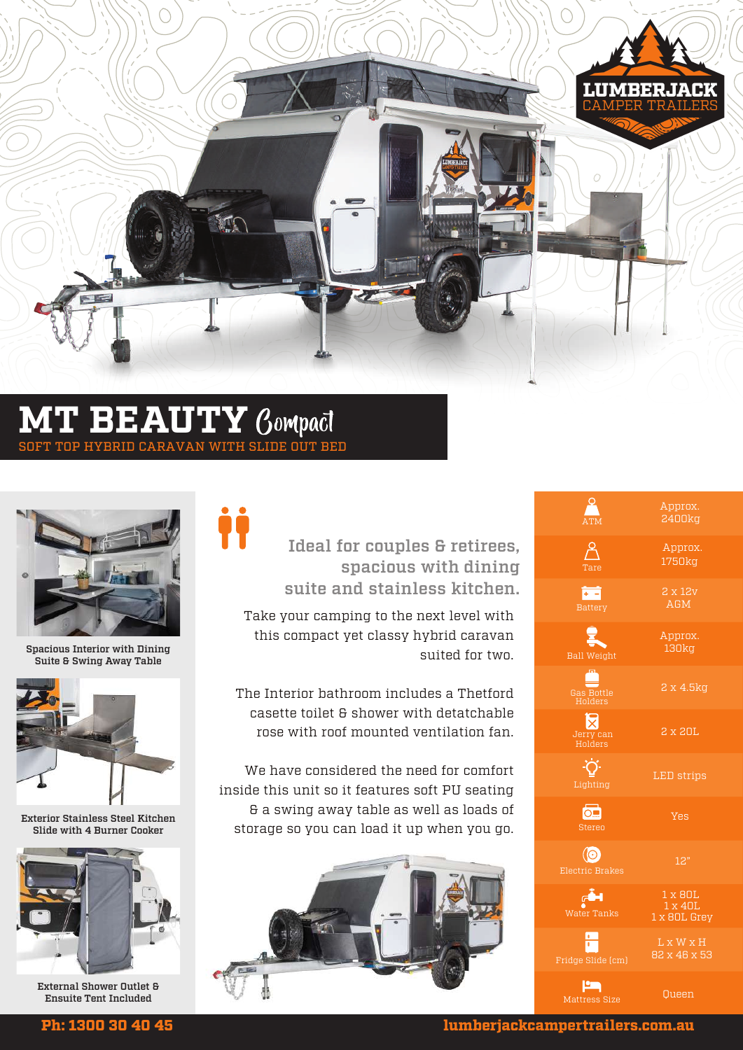

### **MT BEAUTY** SOFT TOP HYBRID CARAVAN WITH SLIDE OUT BED

İİ



Spacious Interior with Dining Suite & Swing Away Table



Exterior Stainless Steel Kitchen Slide with 4 Burner Cooker



External Shower Outlet & Ensuite Tent Included

### Ideal for couples & retirees, spacious with dining suite and stainless kitchen.

Take your camping to the next level with this compact yet classy hybrid caravan suited for two.

The Interior bathroom includes a Thetford casette toilet & shower with detatchable rose with roof mounted ventilation fan.

We have considered the need for comfort inside this unit so it features soft PU seating & a swing away table as well as loads of storage so you can load it up when you go.